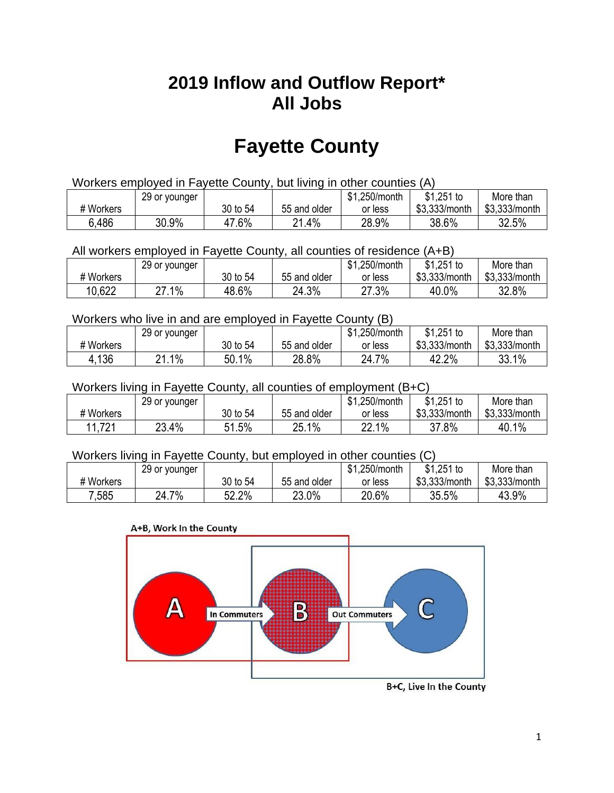## **2019 Inflow and Outflow Report\* All Jobs**

# **Fayette County**

| Workers employed in Fayette County, but living in other counties (A) |                                                           |          |              |         |               |               |  |  |  |
|----------------------------------------------------------------------|-----------------------------------------------------------|----------|--------------|---------|---------------|---------------|--|--|--|
|                                                                      | \$1.251 to<br>\$1.250/month<br>More than<br>29 or younger |          |              |         |               |               |  |  |  |
| # Workers                                                            |                                                           | 30 to 54 | 55 and older | or less | \$3.333/month | \$3.333/month |  |  |  |
| 6.486                                                                | 30.9%                                                     | 47.6%    | 21.4%        | 28.9%   | 38.6%         | 32.5%         |  |  |  |

All workers employed in Fayette County, all counties of residence (A+B)

|           | 29 or younger    |          |              | \$1,250/month | $$1,251$ to   | More than     |
|-----------|------------------|----------|--------------|---------------|---------------|---------------|
| # Workers |                  | 30 to 54 | 55 and older | or less       | \$3,333/month | \$3,333/month |
| 10,622    | .1%<br>^7<br>ے ا | 48.6%    | 24.3%        | 27.3%         | 40.0%         | 32.8%         |

#### Workers who live in and are employed in Fayette County (B)

|           | 29 or younger |          |              | \$1,250/month | $$1,251$ to   | More than     |
|-----------|---------------|----------|--------------|---------------|---------------|---------------|
| # Workers |               | 30 to 54 | 55 and older | or less       | \$3,333/month | \$3,333/month |
| 4,136     | $.1\%$<br>ດ 4 | 50.1%    | 28.8%        | 7%<br>24.7    | 42.2%         | 33.1%         |

#### Workers living in Fayette County, all counties of employment (B+C)

|           | 29 or younger |             |              | \$1,250/month | \$1,251 to    | More than     |
|-----------|---------------|-------------|--------------|---------------|---------------|---------------|
| # Workers |               | 30 to 54    | 55 and older | or less       | \$3,333/month | \$3,333/month |
| 11,721    | 23.4%         | 1.5%<br>51. | 25.1%        | 22.1%         | 37.8%         | 40.1%         |

#### Workers living in Fayette County, but employed in other counties (C)

|           | 29 or younger |          |              | \$1,250/month | $$1,251$ to   | More than     |
|-----------|---------------|----------|--------------|---------------|---------------|---------------|
| # Workers |               | 30 to 54 | 55 and older | or less       | \$3,333/month | \$3,333/month |
| 7,585     | 7%<br>24.7    | 52.2%    | 23.0%        | 20.6%         | 35.5%         | 43.9%         |

#### A+B, Work In the County



B+C, Live In the County